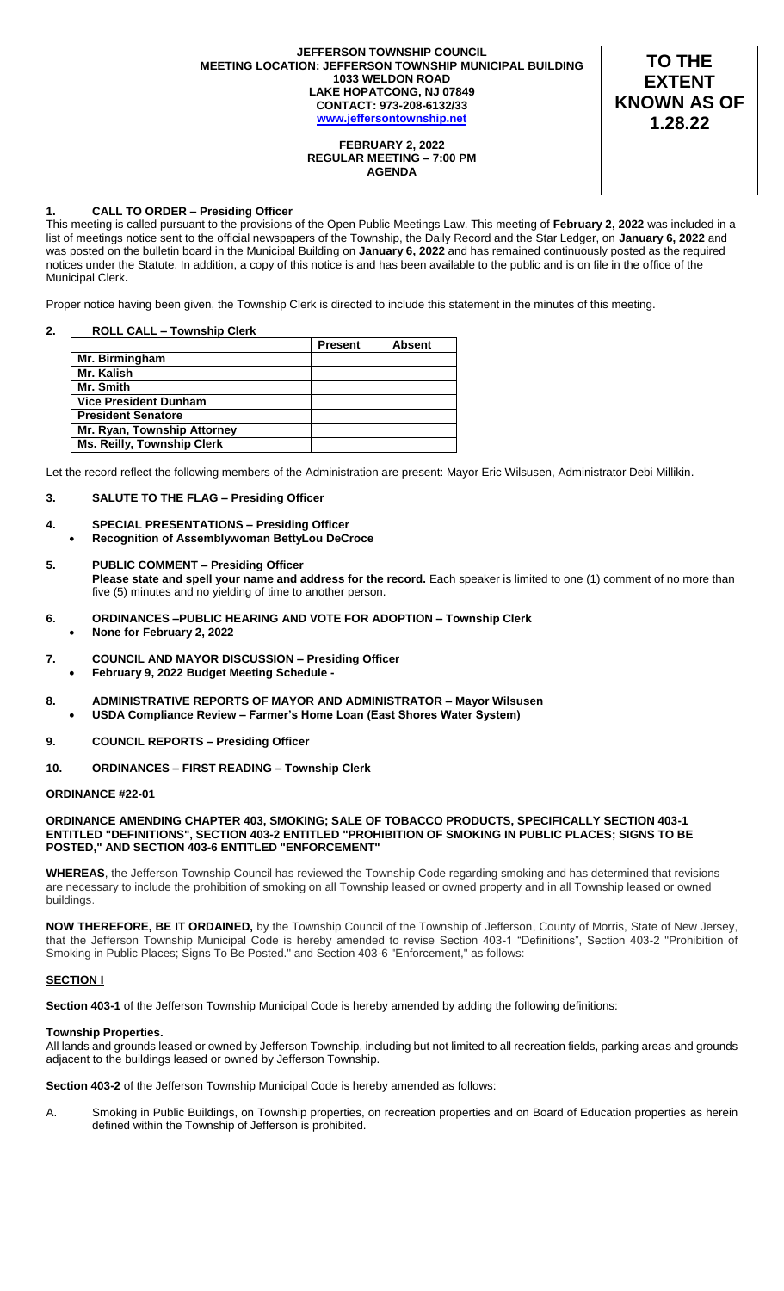#### **JEFFERSON TOWNSHIP COUNCIL MEETING LOCATION: JEFFERSON TOWNSHIP MUNICIPAL BUILDING 1033 WELDON ROAD LAKE HOPATCONG, NJ 07849 CONTACT: 973-208-6132/33 [www.jeffersontownship.net](http://www.jeffersontownship.net/)**



#### **FEBRUARY 2, 2022 REGULAR MEETING – 7:00 PM AGENDA**

#### **1. CALL TO ORDER – Presiding Officer**

This meeting is called pursuant to the provisions of the Open Public Meetings Law. This meeting of **February 2, 2022** was included in a list of meetings notice sent to the official newspapers of the Township, the Daily Record and the Star Ledger, on **January 6, 2022** and was posted on the bulletin board in the Municipal Building on **January 6, 2022** and has remained continuously posted as the required notices under the Statute. In addition, a copy of this notice is and has been available to the public and is on file in the office of the Municipal Clerk**.** 

Proper notice having been given, the Township Clerk is directed to include this statement in the minutes of this meeting.

### **2. ROLL CALL – Township Clerk**

|                                   | <b>Present</b> | <b>Absent</b> |
|-----------------------------------|----------------|---------------|
| Mr. Birmingham                    |                |               |
| Mr. Kalish                        |                |               |
| Mr. Smith                         |                |               |
| <b>Vice President Dunham</b>      |                |               |
| <b>President Senatore</b>         |                |               |
| Mr. Ryan, Township Attorney       |                |               |
| <b>Ms. Reilly, Township Clerk</b> |                |               |

Let the record reflect the following members of the Administration are present: Mayor Eric Wilsusen, Administrator Debi Millikin.

### **3. SALUTE TO THE FLAG – Presiding Officer**

- **4. [SPECIAL PRESENTATIONS](file://///JR2DATA/Clerk/Council%20Documents/Meetings/2018%20Meetings/EAGLE%20SCOUTS) – Presiding Officer** 
	- **Recognition of Assemblywoman BettyLou DeCroce**

# **5. PUBLIC COMMENT – Presiding Officer**

**Please state and spell your name and address for the record.** Each speaker is limited to one (1) comment of no more than five (5) minutes and no yielding of time to another person.

- **6. ORDINANCES –PUBLIC HEARING AND VOTE FOR ADOPTION – Township Clerk**
- **None for February 2, 2022**
- **7. COUNCIL AND MAYOR DISCUSSION – Presiding Officer**
	- **February 9, 2022 Budget Meeting Schedule -**
- **8. ADMINISTRATIVE REPORTS OF MAYOR AND ADMINISTRATOR – Mayor Wilsusen USDA Compliance Review – Farmer's Home Loan (East Shores Water System)**
- **9. COUNCIL REPORTS – Presiding Officer**
- **10. ORDINANCES – FIRST READING – Township Clerk**

#### **ORDINANCE #22-01**

#### **ORDINANCE AMENDING CHAPTER 403, SMOKING; SALE OF TOBACCO PRODUCTS, SPECIFICALLY SECTION 403-1 ENTITLED "DEFINITIONS", SECTION 403-2 ENTITLED "PROHIBITION OF SMOKING IN PUBLIC PLACES; SIGNS TO BE POSTED," AND SECTION 403-6 ENTITLED "ENFORCEMENT"**

**WHEREAS**, the Jefferson Township Council has reviewed the Township Code regarding smoking and has determined that revisions are necessary to include the prohibition of smoking on all Township leased or owned property and in all Township leased or owned buildings.

**NOW THEREFORE, BE IT ORDAINED,** by the Township Council of the Township of Jefferson, County of Morris, State of New Jersey, that the Jefferson Township Municipal Code is hereby amended to revise Section 403-1 "Definitions", Section 403-2 "Prohibition of Smoking in Public Places; Signs To Be Posted." and Section 403-6 "Enforcement," as follows:

#### **SECTION I**

**Section 403-1** of the Jefferson Township Municipal Code is hereby amended by adding the following definitions:

#### **Township Properties.**

All lands and grounds leased or owned by Jefferson Township, including but not limited to all recreation fields, parking areas and grounds adjacent to the buildings leased or owned by Jefferson Township.

**Section 403-2** of the Jefferson Township Municipal Code is hereby amended as follows:

A. Smoking in Public Buildings, on Township properties, on recreation properties and on Board of Education properties as herein defined within the Township of Jefferson is prohibited.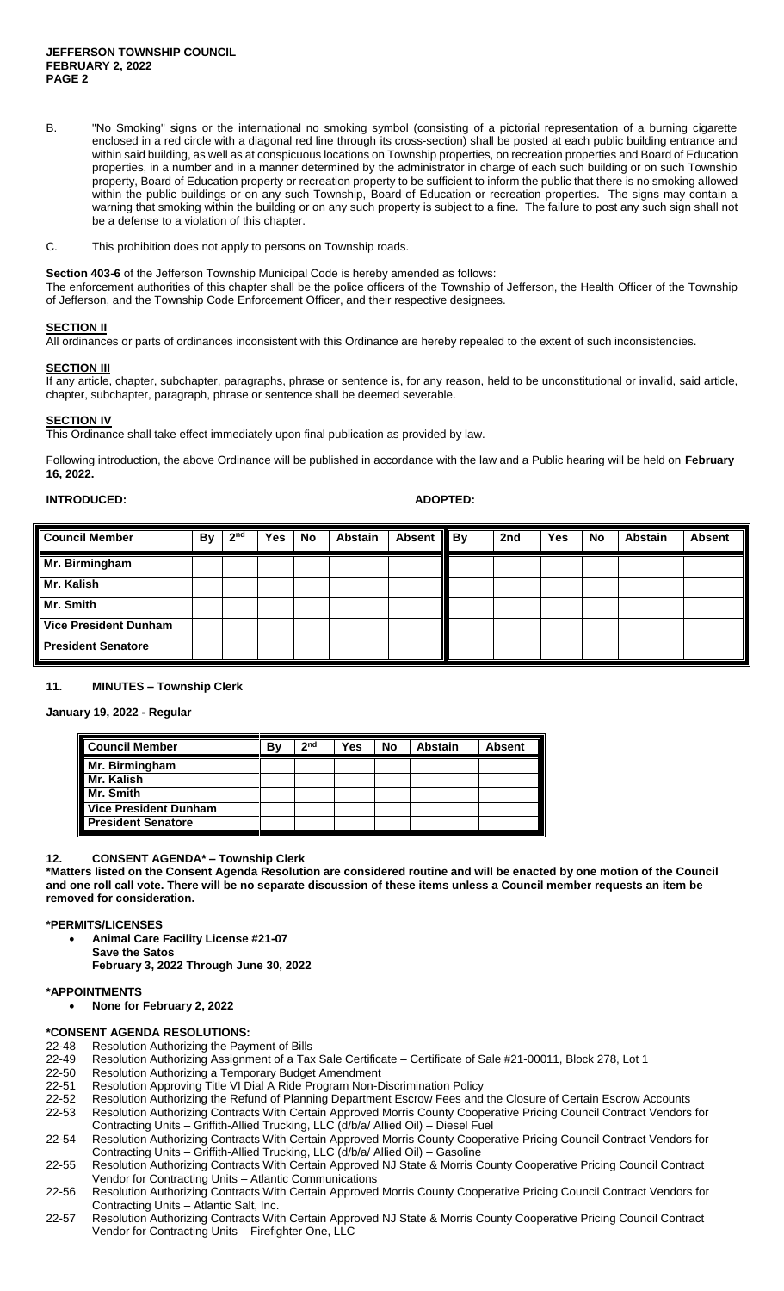- B. "No Smoking" signs or the international no smoking symbol (consisting of a pictorial representation of a burning cigarette enclosed in a red circle with a diagonal red line through its cross-section) shall be posted at each public building entrance and within said building, as well as at conspicuous locations on Township properties, on recreation properties and Board of Education properties, in a number and in a manner determined by the administrator in charge of each such building or on such Township property, Board of Education property or recreation property to be sufficient to inform the public that there is no smoking allowed within the public buildings or on any such Township, Board of Education or recreation properties. The signs may contain a warning that smoking within the building or on any such property is subject to a fine. The failure to post any such sign shall not be a defense to a violation of this chapter.
- C. This prohibition does not apply to persons on Township roads.

**Section 403-6** of the Jefferson Township Municipal Code is hereby amended as follows: The enforcement authorities of this chapter shall be the police officers of the Township of Jefferson, the Health Officer of the Township of Jefferson, and the Township Code Enforcement Officer, and their respective designees.

## **SECTION II**

All ordinances or parts of ordinances inconsistent with this Ordinance are hereby repealed to the extent of such inconsistencies.

**SECTION III** If any article, chapter, subchapter, paragraphs, phrase or sentence is, for any reason, held to be unconstitutional or invalid, said article, chapter, subchapter, paragraph, phrase or sentence shall be deemed severable.

#### **SECTION IV**

This Ordinance shall take effect immediately upon final publication as provided by law.

Following introduction, the above Ordinance will be published in accordance with the law and a Public hearing will be held on **February 16, 2022.**

#### **INTRODUCED: ADOPTED:**

| <b>Council Member</b>        | By | 2 <sub>nd</sub> | Yes | No | <b>Abstain</b> | <b>Absent</b> | $\parallel$ By | 2nd | Yes | No | <b>Abstain</b> | <b>Absent</b> |
|------------------------------|----|-----------------|-----|----|----------------|---------------|----------------|-----|-----|----|----------------|---------------|
| Mr. Birmingham               |    |                 |     |    |                |               |                |     |     |    |                |               |
| Mr. Kalish                   |    |                 |     |    |                |               |                |     |     |    |                |               |
| Mr. Smith                    |    |                 |     |    |                |               |                |     |     |    |                |               |
| <b>Vice President Dunham</b> |    |                 |     |    |                |               |                |     |     |    |                |               |
| <b>President Senatore</b>    |    |                 |     |    |                |               |                |     |     |    |                |               |

#### **11. MINUTES – Township Clerk**

**January 19, 2022 - Regular**

| <b>Council Member</b>        | В١ | 2 <sub>nd</sub> | Yes | No | <b>Abstain</b> | <b>Absent</b> |
|------------------------------|----|-----------------|-----|----|----------------|---------------|
| Mr. Birmingham               |    |                 |     |    |                |               |
| Mr. Kalish                   |    |                 |     |    |                |               |
| Mr. Smith                    |    |                 |     |    |                |               |
| <b>Vice President Dunham</b> |    |                 |     |    |                |               |
| <b>President Senatore</b>    |    |                 |     |    |                |               |

#### **12. CONSENT AGENDA\* – Township Clerk**

**\*Matters listed on the Consent Agenda Resolution are considered routine and will be enacted by one motion of the Council and one roll call vote. There will be no separate discussion of these items unless a Council member requests an item be removed for consideration.**

#### **\*PERMITS/LICENSES**

**Animal Care Facility License #21-07**

- **Save the Satos**
	- **February 3, 2022 Through June 30, 2022**

#### **\*APPOINTMENTS**

**None for February 2, 2022**

#### **\*CONSENT AGENDA RESOLUTIONS:**

- 22-48 Resolution Authorizing the Payment of Bills<br>22-49 Resolution Authorizing Assignment of a Tax
- Resolution Authorizing Assignment of a Tax Sale Certificate Certificate of Sale #21-00011, Block 278, Lot 1
- 22-50 Resolution Authorizing a Temporary Budget Amendment
- 22-51 Resolution Approving Title VI Dial A Ride Program Non-Discrimination Policy
- 22-52 Resolution Authorizing the Refund of Planning Department Escrow Fees and the Closure of Certain Escrow Accounts 22-53 Resolution Authorizing Contracts With Certain Approved Morris County Cooperative Pricing Council Contract Vendors for
- Contracting Units Griffith-Allied Trucking, LLC (d/b/a/ Allied Oil) Diesel Fuel 22-54 Resolution Authorizing Contracts With Certain Approved Morris County Cooperative Pricing Council Contract Vendors for
- Contracting Units Griffith-Allied Trucking, LLC (d/b/a/ Allied Oil) Gasoline 22-55 Resolution Authorizing Contracts With Certain Approved NJ State & Morris County Cooperative Pricing Council Contract Vendor for Contracting Units – Atlantic Communications
- 22-56 Resolution Authorizing Contracts With Certain Approved Morris County Cooperative Pricing Council Contract Vendors for Contracting Units – Atlantic Salt, Inc.
- 22-57 Resolution Authorizing Contracts With Certain Approved NJ State & Morris County Cooperative Pricing Council Contract Vendor for Contracting Units – Firefighter One, LLC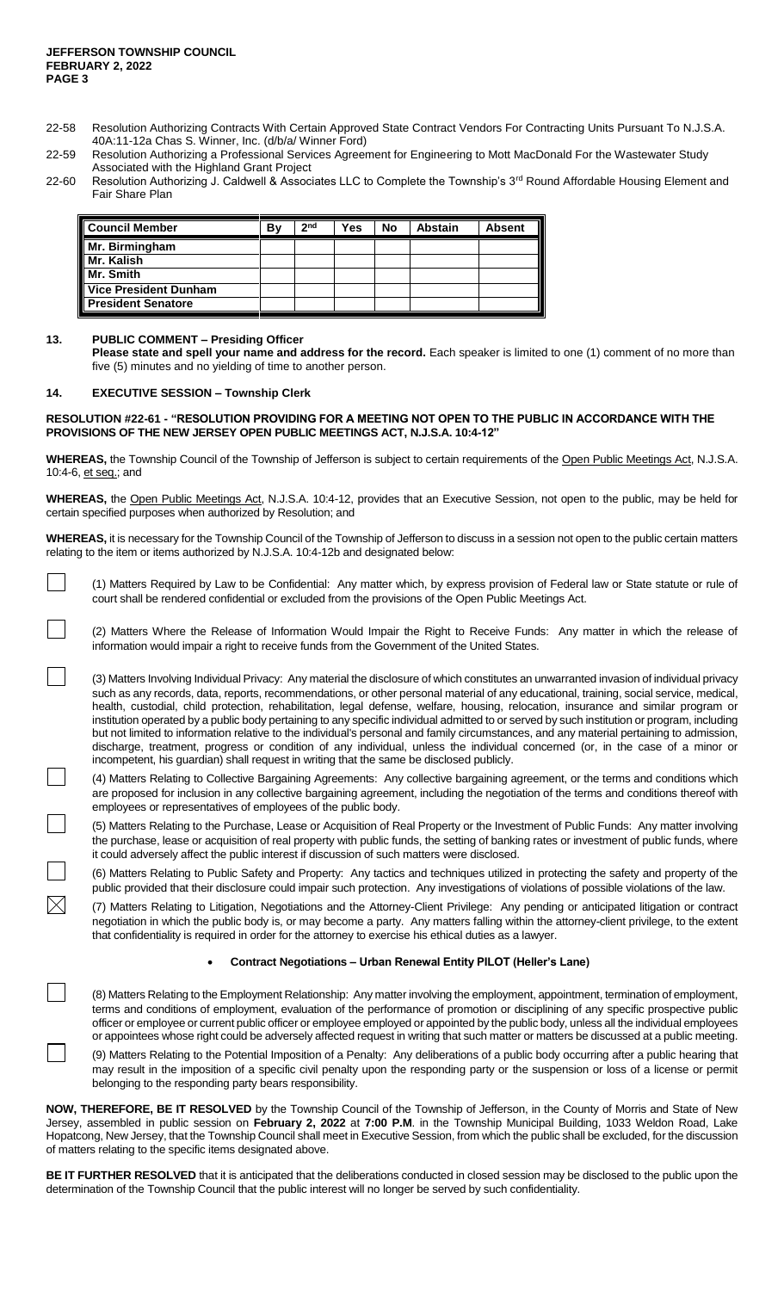- 22-58 Resolution Authorizing Contracts With Certain Approved State Contract Vendors For Contracting Units Pursuant To N.J.S.A. 40A:11-12a Chas S. Winner, Inc. (d/b/a/ Winner Ford)
- 22-59 Resolution Authorizing a Professional Services Agreement for Engineering to Mott MacDonald For the Wastewater Study Associated with the Highland Grant Project
- 22-60 Resolution Authorizing J. Caldwell & Associates LLC to Complete the Township's 3<sup>rd</sup> Round Affordable Housing Element and Fair Share Plan

| <b>Council Member</b>        | B٧ | 2 <sub>nd</sub> | Yes | No | <b>Abstain</b> | Absent |
|------------------------------|----|-----------------|-----|----|----------------|--------|
| Mr. Birmingham               |    |                 |     |    |                |        |
| Mr. Kalish                   |    |                 |     |    |                |        |
| Mr. Smith                    |    |                 |     |    |                |        |
| <b>Vice President Dunham</b> |    |                 |     |    |                |        |
| <b>President Senatore</b>    |    |                 |     |    |                |        |

#### **13. PUBLIC COMMENT – Presiding Officer**

**Please state and spell your name and address for the record.** Each speaker is limited to one (1) comment of no more than five (5) minutes and no yielding of time to another person.

#### **14. EXECUTIVE SESSION – Township Clerk**

 $\boxtimes$ 

#### **RESOLUTION #22-61 - "RESOLUTION PROVIDING FOR A MEETING NOT OPEN TO THE PUBLIC IN ACCORDANCE WITH THE PROVISIONS OF THE NEW JERSEY OPEN PUBLIC MEETINGS ACT, N.J.S.A. 10:4-12"**

**WHEREAS,** the Township Council of the Township of Jefferson is subject to certain requirements of the Open Public Meetings Act, N.J.S.A. 10:4-6, et seq.; and

**WHEREAS,** the Open Public Meetings Act, N.J.S.A. 10:4-12, provides that an Executive Session, not open to the public, may be held for certain specified purposes when authorized by Resolution; and

**WHEREAS,** it is necessary for the Township Council of the Township of Jefferson to discuss in a session not open to the public certain matters relating to the item or items authorized by N.J.S.A. 10:4-12b and designated below:

(1) Matters Required by Law to be Confidential: Any matter which, by express provision of Federal law or State statute or rule of court shall be rendered confidential or excluded from the provisions of the Open Public Meetings Act.

(2) Matters Where the Release of Information Would Impair the Right to Receive Funds: Any matter in which the release of information would impair a right to receive funds from the Government of the United States.

(3) Matters Involving Individual Privacy: Any material the disclosure of which constitutes an unwarranted invasion of individual privacy such as any records, data, reports, recommendations, or other personal material of any educational, training, social service, medical, health, custodial, child protection, rehabilitation, legal defense, welfare, housing, relocation, insurance and similar program or institution operated by a public body pertaining to any specific individual admitted to or served by such institution or program, including but not limited to information relative to the individual's personal and family circumstances, and any material pertaining to admission, discharge, treatment, progress or condition of any individual, unless the individual concerned (or, in the case of a minor or incompetent, his guardian) shall request in writing that the same be disclosed publicly.

(4) Matters Relating to Collective Bargaining Agreements: Any collective bargaining agreement, or the terms and conditions which are proposed for inclusion in any collective bargaining agreement, including the negotiation of the terms and conditions thereof with employees or representatives of employees of the public body.

(5) Matters Relating to the Purchase, Lease or Acquisition of Real Property or the Investment of Public Funds: Any matter involving the purchase, lease or acquisition of real property with public funds, the setting of banking rates or investment of public funds, where it could adversely affect the public interest if discussion of such matters were disclosed.

(6) Matters Relating to Public Safety and Property: Any tactics and techniques utilized in protecting the safety and property of the public provided that their disclosure could impair such protection. Any investigations of violations of possible violations of the law.

(7) Matters Relating to Litigation, Negotiations and the Attorney-Client Privilege: Any pending or anticipated litigation or contract negotiation in which the public body is, or may become a party. Any matters falling within the attorney-client privilege, to the extent that confidentiality is required in order for the attorney to exercise his ethical duties as a lawyer.

#### **Contract Negotiations – Urban Renewal Entity PILOT (Heller's Lane)**

(8) Matters Relating to the Employment Relationship: Any matter involving the employment, appointment, termination of employment, terms and conditions of employment, evaluation of the performance of promotion or disciplining of any specific prospective public officer or employee or current public officer or employee employed or appointed by the public body, unless all the individual employees or appointees whose right could be adversely affected request in writing that such matter or matters be discussed at a public meeting.

(9) Matters Relating to the Potential Imposition of a Penalty: Any deliberations of a public body occurring after a public hearing that may result in the imposition of a specific civil penalty upon the responding party or the suspension or loss of a license or permit belonging to the responding party bears responsibility.

**NOW, THEREFORE, BE IT RESOLVED** by the Township Council of the Township of Jefferson, in the County of Morris and State of New Jersey, assembled in public session on **February 2, 2022** at **7:00 P.M**. in the Township Municipal Building, 1033 Weldon Road, Lake Hopatcong, New Jersey, that the Township Council shall meet in Executive Session, from which the public shall be excluded, for the discussion of matters relating to the specific items designated above.

**BE IT FURTHER RESOLVED** that it is anticipated that the deliberations conducted in closed session may be disclosed to the public upon the determination of the Township Council that the public interest will no longer be served by such confidentiality.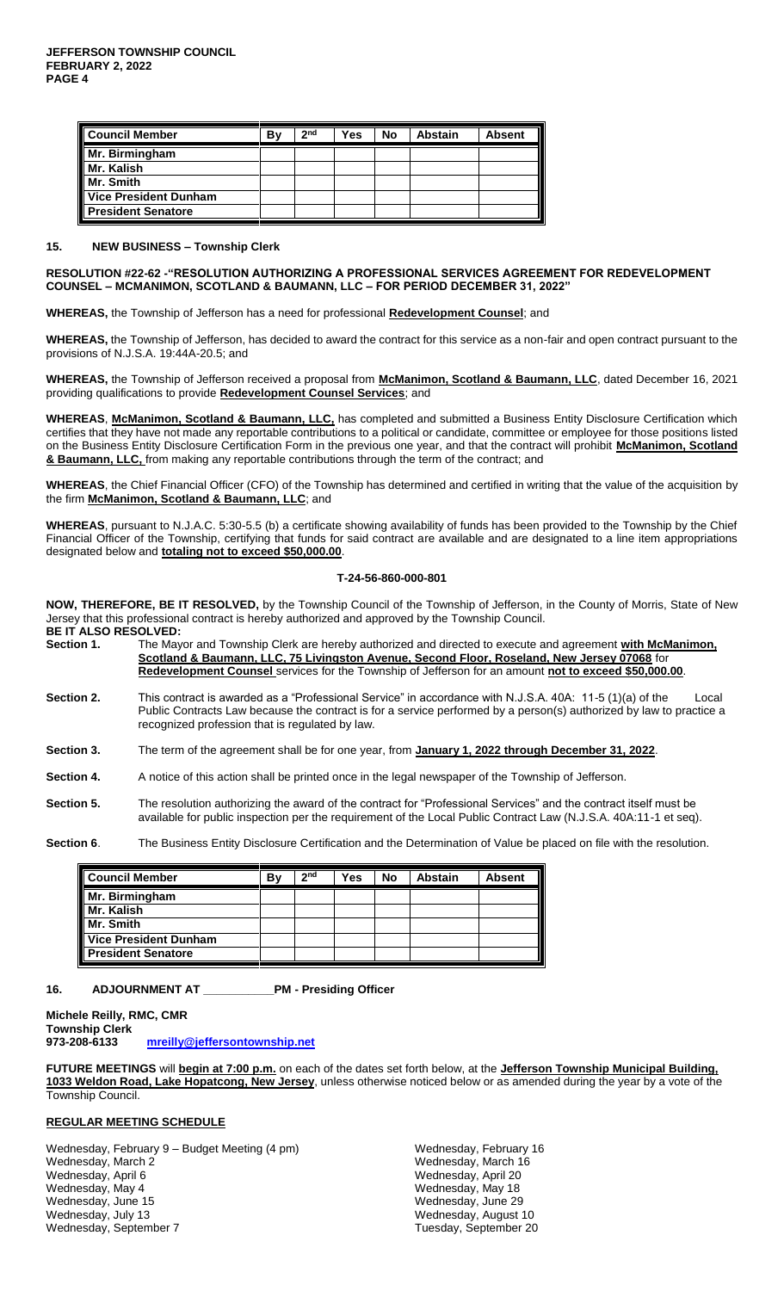| <b>Council Member</b>                     | B٧ | 2 <sub>nd</sub> | Yes | No | <b>Abstain</b> | <b>Absent</b> |
|-------------------------------------------|----|-----------------|-----|----|----------------|---------------|
| Mr. Birmingham<br>Mr. Kalish<br>Mr. Smith |    |                 |     |    |                |               |
|                                           |    |                 |     |    |                |               |
|                                           |    |                 |     |    |                |               |
| <b>Vice President Dunham</b>              |    |                 |     |    |                |               |
| <b>President Senatore</b>                 |    |                 |     |    |                |               |

#### **15. NEW BUSINESS – Township Clerk**

#### **RESOLUTION #22-62 -"RESOLUTION AUTHORIZING A PROFESSIONAL SERVICES AGREEMENT FOR REDEVELOPMENT COUNSEL – MCMANIMON, SCOTLAND & BAUMANN, LLC – FOR PERIOD DECEMBER 31, 2022"**

**WHEREAS,** the Township of Jefferson has a need for professional **Redevelopment Counsel**; and

**WHEREAS,** the Township of Jefferson, has decided to award the contract for this service as a non-fair and open contract pursuant to the provisions of N.J.S.A. 19:44A-20.5; and

**WHEREAS,** the Township of Jefferson received a proposal from **McManimon, Scotland & Baumann, LLC**, dated December 16, 2021 providing qualifications to provide **Redevelopment Counsel Services**; and

**WHEREAS**, **McManimon, Scotland & Baumann, LLC,** has completed and submitted a Business Entity Disclosure Certification which certifies that they have not made any reportable contributions to a political or candidate, committee or employee for those positions listed on the Business Entity Disclosure Certification Form in the previous one year, and that the contract will prohibit **McManimon, Scotland & Baumann, LLC,** from making any reportable contributions through the term of the contract; and

**WHEREAS**, the Chief Financial Officer (CFO) of the Township has determined and certified in writing that the value of the acquisition by the firm **McManimon, Scotland & Baumann, LLC**; and

**WHEREAS**, pursuant to N.J.A.C. 5:30-5.5 (b) a certificate showing availability of funds has been provided to the Township by the Chief Financial Officer of the Township, certifying that funds for said contract are available and are designated to a line item appropriations designated below and **totaling not to exceed \$50,000.00**.

#### **T-24-56-860-000-801**

**NOW, THEREFORE, BE IT RESOLVED,** by the Township Council of the Township of Jefferson, in the County of Morris, State of New Jersey that this professional contract is hereby authorized and approved by the Township Council. **BE IT ALSO RESOLVED:** 

**Section 1.** The Mayor and Township Clerk are hereby authorized and directed to execute and agreement **with McManimon, Scotland & Baumann, LLC, 75 Livingston Avenue, Second Floor, Roseland, New Jersey 07068** for **Redevelopment Counsel** services for the Township of Jefferson for an amount **not to exceed \$50,000.00**.

**Section 2.** This contract is awarded as a "Professional Service" in accordance with N.J.S.A. 40A: 11-5 (1)(a) of the Local Public Contracts Law because the contract is for a service performed by a person(s) authorized by law to practice a recognized profession that is regulated by law.

**Section 3.** The term of the agreement shall be for one year, from **January 1, 2022 through December 31, 2022**.

**Section 4.** A notice of this action shall be printed once in the legal newspaper of the Township of Jefferson.

**Section 5.** The resolution authorizing the award of the contract for "Professional Services" and the contract itself must be available for public inspection per the requirement of the Local Public Contract Law (N.J.S.A. 40A:11-1 et seq).

**Section 6**. The Business Entity Disclosure Certification and the Determination of Value be placed on file with the resolution.

| Council Member                                                 | B٧ | 2 <sub>nd</sub> | Yes | No | <b>Abstain</b> | <b>Absent</b> |
|----------------------------------------------------------------|----|-----------------|-----|----|----------------|---------------|
| <b>Mr. Birmingham</b><br><b>Mr. Kalish</b><br><b>Mr. Smith</b> |    |                 |     |    |                |               |
|                                                                |    |                 |     |    |                |               |
|                                                                |    |                 |     |    |                |               |
|                                                                |    |                 |     |    |                |               |
| Vice President Dunham<br>President Senatore                    |    |                 |     |    |                |               |

### **16. ADJOURNMENT AT \_\_\_\_\_\_\_\_\_\_\_PM - Presiding Officer**

**Michele Reilly, RMC, CMR Township Clerk 973-208-6133 [mreilly@jeffersontownship.net](mailto:mreilly@jeffersontownship.net)**

**FUTURE MEETINGS** will **begin at 7:00 p.m.** on each of the dates set forth below, at the **Jefferson Township Municipal Building, 1033 Weldon Road, Lake Hopatcong, New Jersey**, unless otherwise noticed below or as amended during the year by a vote of the Township Council.

#### **REGULAR MEETING SCHEDULE**

Wednesday, February 9 - Budget Meeting (4 pm) Wednesday, February 16 Wednesday, March 2 Wednesday, March 16 Wednesday, April 6 Wednesday, April 20 Wednesday, June 15 Wednesday, June 29<br>
Wednesday, July 13 Wednesday, August 1 Wednesday, September 7 Tuesday, September 20

Wednesday, May 18 Wednesday, August 10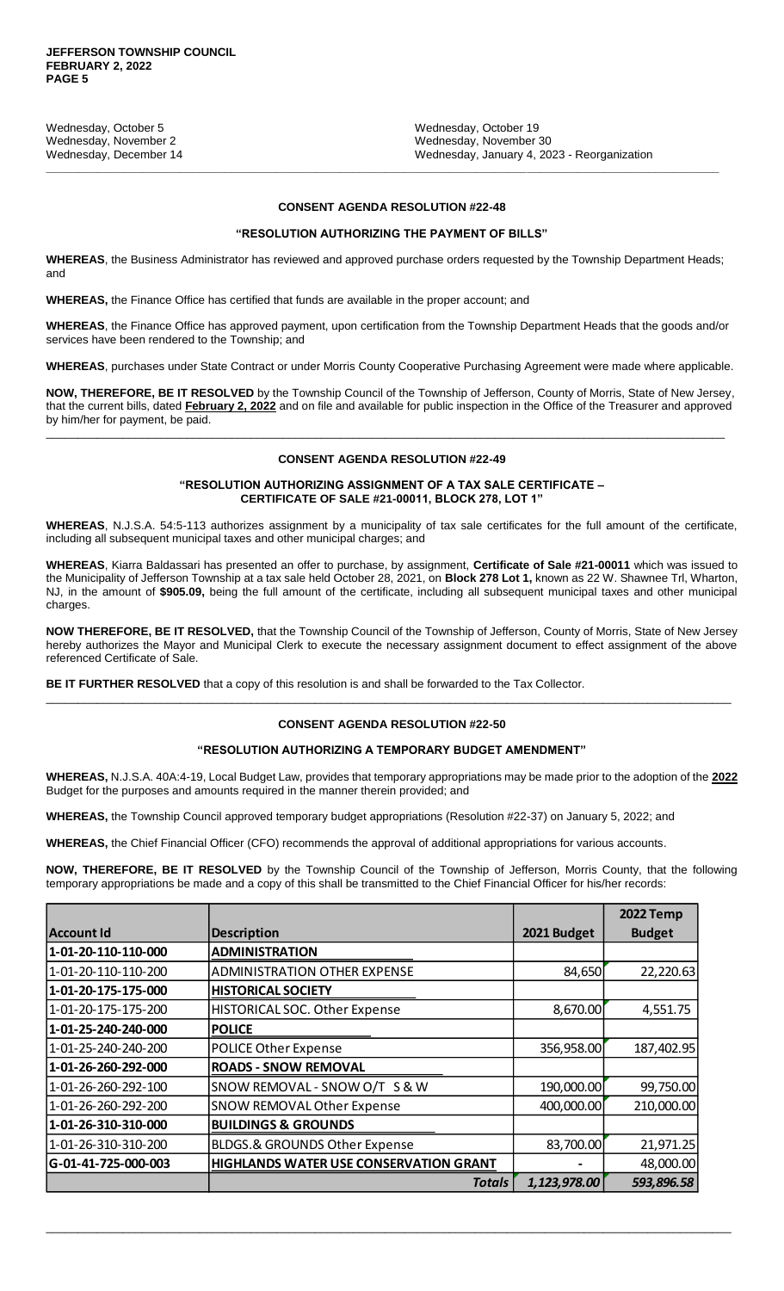Wednesday, October 5 Wednesday, October 19 Wednesday, November 2 Wednesday, November 30<br>
Wednesday, December 14 Wednesday, January 4, 20

Wednesday, January 4, 2023 - Reorganization

## **CONSENT AGENDA RESOLUTION #22-48**

**\_\_\_\_\_\_\_\_\_\_\_\_\_\_\_\_\_\_\_\_\_\_\_\_\_\_\_\_\_\_\_\_\_\_\_\_\_\_\_\_\_\_\_\_\_\_\_\_\_\_\_\_\_\_\_\_\_\_\_\_\_\_\_\_\_\_\_\_\_\_\_\_\_\_\_\_\_\_\_\_\_\_\_\_\_\_\_\_\_\_\_\_\_\_\_\_\_\_\_\_\_\_\_\_\_**

#### **"RESOLUTION AUTHORIZING THE PAYMENT OF BILLS"**

**WHEREAS**, the Business Administrator has reviewed and approved purchase orders requested by the Township Department Heads; and

**WHEREAS,** the Finance Office has certified that funds are available in the proper account; and

**WHEREAS**, the Finance Office has approved payment, upon certification from the Township Department Heads that the goods and/or services have been rendered to the Township; and

**WHEREAS**, purchases under State Contract or under Morris County Cooperative Purchasing Agreement were made where applicable.

**NOW, THEREFORE, BE IT RESOLVED** by the Township Council of the Township of Jefferson, County of Morris, State of New Jersey, that the current bills, dated **February 2, 2022** and on file and available for public inspection in the Office of the Treasurer and approved by him/her for payment, be paid. \_\_\_\_\_\_\_\_\_\_\_\_\_\_\_\_\_\_\_\_\_\_\_\_\_\_\_\_\_\_\_\_\_\_\_\_\_\_\_\_\_\_\_\_\_\_\_\_\_\_\_\_\_\_\_\_\_\_\_\_\_\_\_\_\_\_\_\_\_\_\_\_\_\_\_\_\_\_\_\_\_\_\_\_\_\_\_\_\_\_\_\_\_\_\_\_\_\_\_\_\_\_\_\_\_\_

#### **CONSENT AGENDA RESOLUTION #22-49**

#### **"RESOLUTION AUTHORIZING ASSIGNMENT OF A TAX SALE CERTIFICATE – CERTIFICATE OF SALE #21-00011, BLOCK 278, LOT 1"**

**WHEREAS**, N.J.S.A. 54:5-113 authorizes assignment by a municipality of tax sale certificates for the full amount of the certificate, including all subsequent municipal taxes and other municipal charges; and

**WHEREAS**, Kiarra Baldassari has presented an offer to purchase, by assignment, **Certificate of Sale #21-00011** which was issued to the Municipality of Jefferson Township at a tax sale held October 28, 2021, on **Block 278 Lot 1,** known as 22 W. Shawnee Trl, Wharton, NJ, in the amount of **\$905.09,** being the full amount of the certificate, including all subsequent municipal taxes and other municipal charges.

**NOW THEREFORE, BE IT RESOLVED,** that the Township Council of the Township of Jefferson, County of Morris, State of New Jersey hereby authorizes the Mayor and Municipal Clerk to execute the necessary assignment document to effect assignment of the above referenced Certificate of Sale.

**BE IT FURTHER RESOLVED** that a copy of this resolution is and shall be forwarded to the Tax Collector.

#### **CONSENT AGENDA RESOLUTION #22-50**

\_\_\_\_\_\_\_\_\_\_\_\_\_\_\_\_\_\_\_\_\_\_\_\_\_\_\_\_\_\_\_\_\_\_\_\_\_\_\_\_\_\_\_\_\_\_\_\_\_\_\_\_\_\_\_\_\_\_\_\_\_\_\_\_\_\_\_\_\_\_\_\_\_\_\_\_\_\_\_\_\_\_\_\_\_\_\_\_\_\_\_\_\_\_\_\_\_\_\_\_\_\_\_\_\_\_\_

#### **"RESOLUTION AUTHORIZING A TEMPORARY BUDGET AMENDMENT"**

**WHEREAS,** N.J.S.A. 40A:4-19, Local Budget Law, provides that temporary appropriations may be made prior to the adoption of the **2022**  Budget for the purposes and amounts required in the manner therein provided; and

**WHEREAS,** the Township Council approved temporary budget appropriations (Resolution #22-37) on January 5, 2022; and

**WHEREAS,** the Chief Financial Officer (CFO) recommends the approval of additional appropriations for various accounts.

**NOW, THEREFORE, BE IT RESOLVED** by the Township Council of the Township of Jefferson, Morris County, that the following temporary appropriations be made and a copy of this shall be transmitted to the Chief Financial Officer for his/her records:

|                     |                                               |              | <b>2022 Temp</b> |
|---------------------|-----------------------------------------------|--------------|------------------|
| Account Id          | <b>Description</b>                            | 2021 Budget  | <b>Budget</b>    |
| 1-01-20-110-110-000 | <b>ADMINISTRATION</b>                         |              |                  |
| 1-01-20-110-110-200 | <b>ADMINISTRATION OTHER EXPENSE</b>           | 84,650       | 22,220.63        |
| 1-01-20-175-175-000 | <b>HISTORICAL SOCIETY</b>                     |              |                  |
| 1-01-20-175-175-200 | <b>HISTORICAL SOC. Other Expense</b>          | 8,670.00     | 4,551.75         |
| 1-01-25-240-240-000 | <b>POLICE</b>                                 |              |                  |
| 1-01-25-240-240-200 | POLICE Other Expense                          | 356,958.00   | 187,402.95       |
| 1-01-26-260-292-000 | <b>ROADS - SNOW REMOVAL</b>                   |              |                  |
| 1-01-26-260-292-100 | SNOW REMOVAL - SNOW O/T S & W                 | 190,000.00   | 99,750.00        |
| 1-01-26-260-292-200 | <b>SNOW REMOVAL Other Expense</b>             | 400,000.00   | 210,000.00       |
| 1-01-26-310-310-000 | <b>BUILDINGS &amp; GROUNDS</b>                |              |                  |
| 1-01-26-310-310-200 | <b>BLDGS.&amp; GROUNDS Other Expense</b>      | 83,700.00    | 21,971.25        |
| G-01-41-725-000-003 | <b>HIGHLANDS WATER USE CONSERVATION GRANT</b> |              | 48,000.00        |
|                     | <b>Totals</b>                                 | 1,123,978.00 | 593,896.58       |

\_\_\_\_\_\_\_\_\_\_\_\_\_\_\_\_\_\_\_\_\_\_\_\_\_\_\_\_\_\_\_\_\_\_\_\_\_\_\_\_\_\_\_\_\_\_\_\_\_\_\_\_\_\_\_\_\_\_\_\_\_\_\_\_\_\_\_\_\_\_\_\_\_\_\_\_\_\_\_\_\_\_\_\_\_\_\_\_\_\_\_\_\_\_\_\_\_\_\_\_\_\_\_\_\_\_\_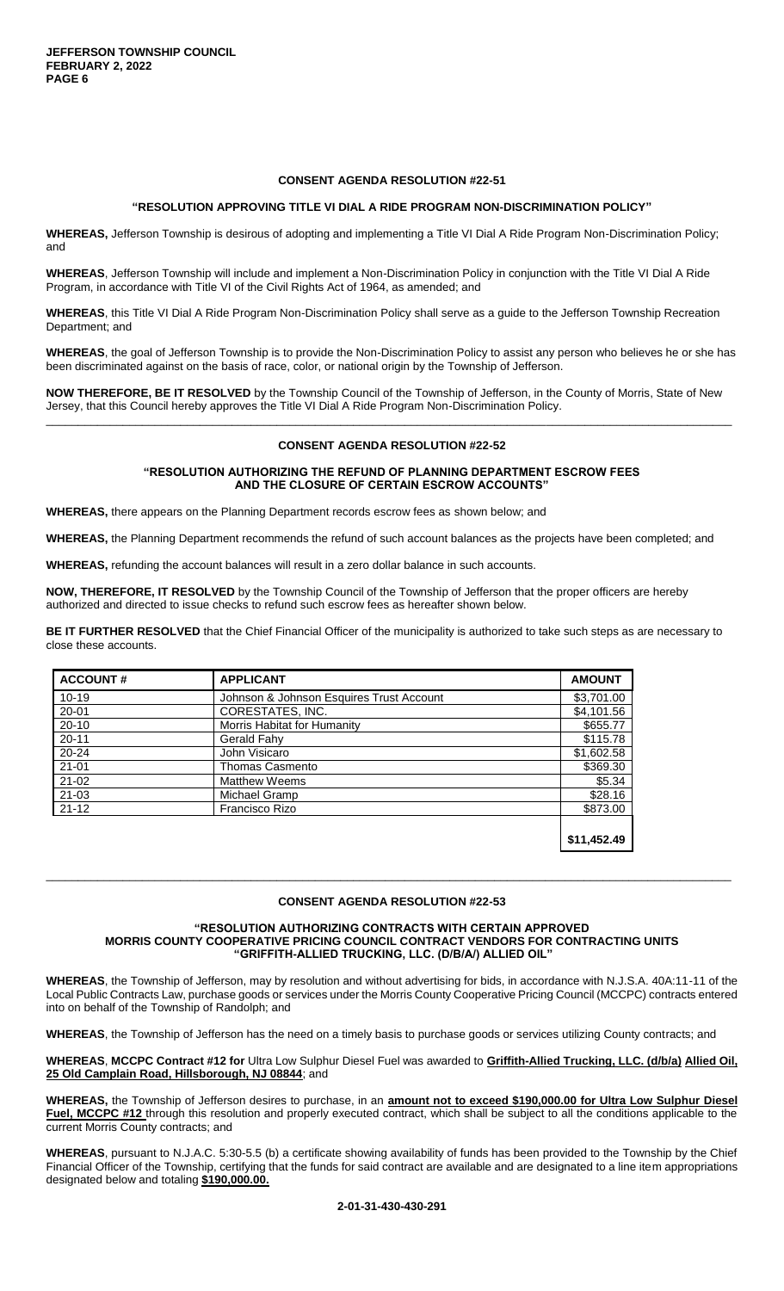#### **CONSENT AGENDA RESOLUTION #22-51**

#### **"RESOLUTION APPROVING TITLE VI DIAL A RIDE PROGRAM NON-DISCRIMINATION POLICY"**

**WHEREAS,** Jefferson Township is desirous of adopting and implementing a Title VI Dial A Ride Program Non-Discrimination Policy; and

**WHEREAS**, Jefferson Township will include and implement a Non-Discrimination Policy in conjunction with the Title VI Dial A Ride Program, in accordance with Title VI of the Civil Rights Act of 1964, as amended; and

**WHEREAS**, this Title VI Dial A Ride Program Non-Discrimination Policy shall serve as a guide to the Jefferson Township Recreation Department; and

**WHEREAS**, the goal of Jefferson Township is to provide the Non-Discrimination Policy to assist any person who believes he or she has been discriminated against on the basis of race, color, or national origin by the Township of Jefferson.

**NOW THEREFORE, BE IT RESOLVED** by the Township Council of the Township of Jefferson, in the County of Morris, State of New Jersey, that this Council hereby approves the Title VI Dial A Ride Program Non-Discrimination Policy. \_\_\_\_\_\_\_\_\_\_\_\_\_\_\_\_\_\_\_\_\_\_\_\_\_\_\_\_\_\_\_\_\_\_\_\_\_\_\_\_\_\_\_\_\_\_\_\_\_\_\_\_\_\_\_\_\_\_\_\_\_\_\_\_\_\_\_\_\_\_\_\_\_\_\_\_\_\_\_\_\_\_\_\_\_\_\_\_\_\_\_\_\_\_\_\_\_\_\_\_\_\_\_\_\_\_\_

#### **CONSENT AGENDA RESOLUTION #22-52**

#### **"RESOLUTION AUTHORIZING THE REFUND OF PLANNING DEPARTMENT ESCROW FEES AND THE CLOSURE OF CERTAIN ESCROW ACCOUNTS"**

**WHEREAS,** there appears on the Planning Department records escrow fees as shown below; and

**WHEREAS,** the Planning Department recommends the refund of such account balances as the projects have been completed; and

**WHEREAS,** refunding the account balances will result in a zero dollar balance in such accounts.

**NOW, THEREFORE, IT RESOLVED** by the Township Council of the Township of Jefferson that the proper officers are hereby authorized and directed to issue checks to refund such escrow fees as hereafter shown below.

**BE IT FURTHER RESOLVED** that the Chief Financial Officer of the municipality is authorized to take such steps as are necessary to close these accounts.

| <b>ACCOUNT#</b> | <b>APPLICANT</b>                         | <b>AMOUNT</b> |
|-----------------|------------------------------------------|---------------|
| $10 - 19$       | Johnson & Johnson Esquires Trust Account | \$3,701.00    |
| $20 - 01$       | CORESTATES, INC.                         | \$4,101.56    |
| $20 - 10$       | Morris Habitat for Humanity              | \$655.77      |
| $20 - 11$       | Gerald Fahy                              | \$115.78      |
| $20 - 24$       | John Visicaro                            | \$1,602.58    |
| $21 - 01$       | <b>Thomas Casmento</b>                   | \$369.30      |
| $21 - 02$       | <b>Matthew Weems</b>                     | \$5.34        |
| $21 - 03$       | Michael Gramp                            | \$28.16       |
| $21 - 12$       | Francisco Rizo                           | \$873.00      |
|                 |                                          | \$11.452.49   |

#### **CONSENT AGENDA RESOLUTION #22-53**

\_\_\_\_\_\_\_\_\_\_\_\_\_\_\_\_\_\_\_\_\_\_\_\_\_\_\_\_\_\_\_\_\_\_\_\_\_\_\_\_\_\_\_\_\_\_\_\_\_\_\_\_\_\_\_\_\_\_\_\_\_\_\_\_\_\_\_\_\_\_\_\_\_\_\_\_\_\_\_\_\_\_\_\_\_\_\_\_\_\_\_\_\_\_\_\_\_\_\_\_\_\_\_\_\_\_\_

#### **"RESOLUTION AUTHORIZING CONTRACTS WITH CERTAIN APPROVED MORRIS COUNTY COOPERATIVE PRICING COUNCIL CONTRACT VENDORS FOR CONTRACTING UNITS "GRIFFITH-ALLIED TRUCKING, LLC. (D/B/A/) ALLIED OIL"**

**WHEREAS**, the Township of Jefferson, may by resolution and without advertising for bids, in accordance with N.J.S.A. 40A:11-11 of the Local Public Contracts Law, purchase goods or services under the Morris County Cooperative Pricing Council (MCCPC) contracts entered into on behalf of the Township of Randolph; and

**WHEREAS**, the Township of Jefferson has the need on a timely basis to purchase goods or services utilizing County contracts; and

**WHEREAS**, **MCCPC Contract #12 for** Ultra Low Sulphur Diesel Fuel was awarded to **Griffith-Allied Trucking, LLC. (d/b/a) Allied Oil,**  25 Old Camplain Road, Hillsborough, NJ 08844; and

**WHEREAS,** the Township of Jefferson desires to purchase, in an **amount not to exceed \$190,000.00 for Ultra Low Sulphur Diesel**  Fuel, MCCPC #12 through this resolution and properly executed contract, which shall be subject to all the conditions applicable to the current Morris County contracts; and

**WHEREAS**, pursuant to N.J.A.C. 5:30-5.5 (b) a certificate showing availability of funds has been provided to the Township by the Chief Financial Officer of the Township, certifying that the funds for said contract are available and are designated to a line item appropriations designated below and totaling **\$190,000.00.**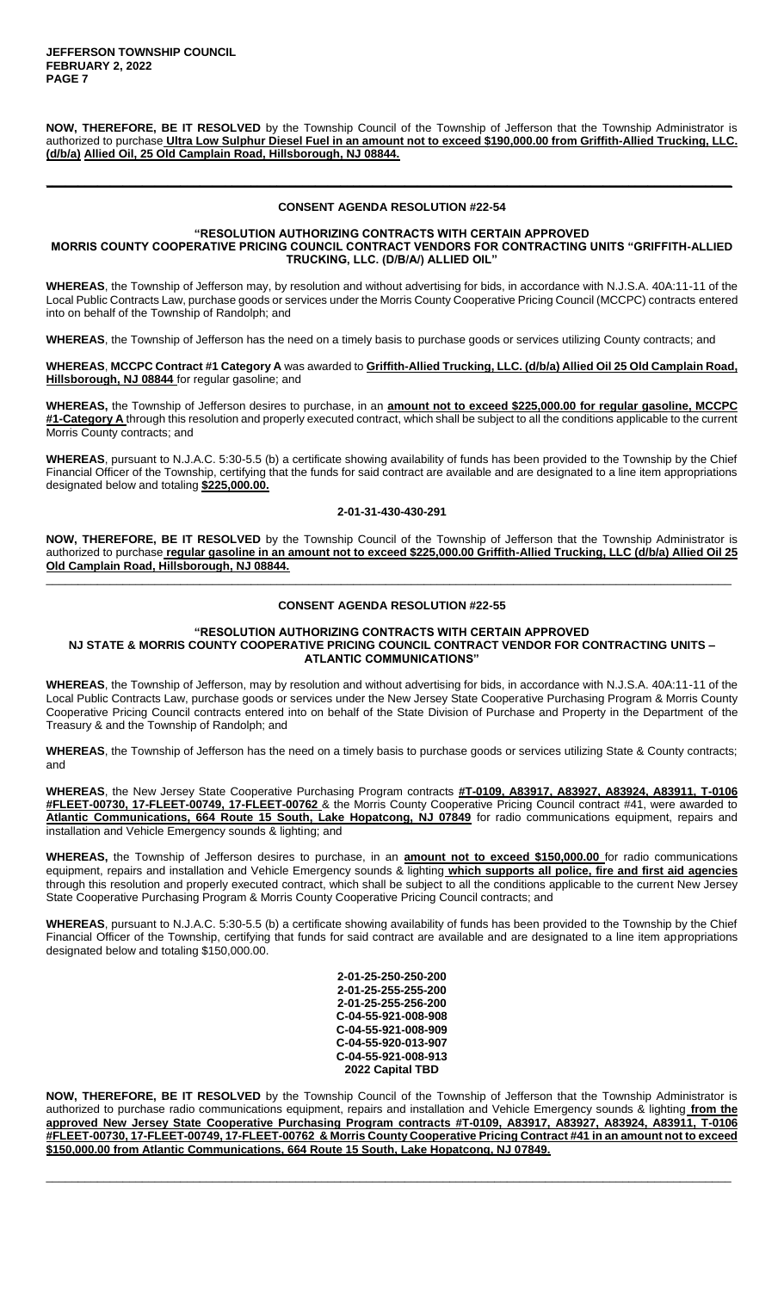**NOW, THEREFORE, BE IT RESOLVED** by the Township Council of the Township of Jefferson that the Township Administrator is authorized to purchase **Ultra Low Sulphur Diesel Fuel in an amount not to exceed \$190,000.00 from Griffith-Allied Trucking, LLC. (d/b/a) Allied Oil, 25 Old Camplain Road, Hillsborough, NJ 08844.**

#### **CONSENT AGENDA RESOLUTION #22-54**

**\_\_\_\_\_\_\_\_\_\_\_\_\_\_\_\_\_\_\_\_\_\_\_\_\_\_\_\_\_\_\_\_\_\_\_\_\_\_\_\_\_\_\_\_\_\_\_\_\_\_\_\_\_\_\_\_\_\_\_\_\_\_\_\_\_\_\_\_\_\_\_\_\_\_\_\_\_\_\_\_\_\_\_\_\_\_\_\_\_\_\_\_\_\_\_\_\_\_\_\_\_\_\_\_\_\_\_**

#### **"RESOLUTION AUTHORIZING CONTRACTS WITH CERTAIN APPROVED MORRIS COUNTY COOPERATIVE PRICING COUNCIL CONTRACT VENDORS FOR CONTRACTING UNITS "GRIFFITH-ALLIED TRUCKING, LLC. (D/B/A/) ALLIED OIL"**

**WHEREAS**, the Township of Jefferson may, by resolution and without advertising for bids, in accordance with N.J.S.A. 40A:11-11 of the Local Public Contracts Law, purchase goods or services under the Morris County Cooperative Pricing Council (MCCPC) contracts entered into on behalf of the Township of Randolph; and

**WHEREAS**, the Township of Jefferson has the need on a timely basis to purchase goods or services utilizing County contracts; and

**WHEREAS**, **MCCPC Contract #1 Category A** was awarded to **Griffith-Allied Trucking, LLC. (d/b/a) Allied Oil 25 Old Camplain Road, Hillsborough, NJ 08844** for regular gasoline; and

**WHEREAS,** the Township of Jefferson desires to purchase, in an **amount not to exceed \$225,000.00 for regular gasoline, MCCPC #1-Category A** through this resolution and properly executed contract, which shall be subject to all the conditions applicable to the current Morris County contracts; and

**WHEREAS**, pursuant to N.J.A.C. 5:30-5.5 (b) a certificate showing availability of funds has been provided to the Township by the Chief Financial Officer of the Township, certifying that the funds for said contract are available and are designated to a line item appropriations designated below and totaling **\$225,000.00.**

#### **2-01-31-430-430-291**

**NOW, THEREFORE, BE IT RESOLVED** by the Township Council of the Township of Jefferson that the Township Administrator is authorized to purchase **regular gasoline in an amount not to exceed \$225,000.00 Griffith-Allied Trucking, LLC (d/b/a) Allied Oil 25 Old Camplain Road, Hillsborough, NJ 08844.** \_\_\_\_\_\_\_\_\_\_\_\_\_\_\_\_\_\_\_\_\_\_\_\_\_\_\_\_\_\_\_\_\_\_\_\_\_\_\_\_\_\_\_\_\_\_\_\_\_\_\_\_\_\_\_\_\_\_\_\_\_\_\_\_\_\_\_\_\_\_\_\_\_\_\_\_\_\_\_\_\_\_\_\_\_\_\_\_\_\_\_\_\_\_\_\_\_\_\_\_\_\_\_\_\_\_\_

#### **CONSENT AGENDA RESOLUTION #22-55**

#### **"RESOLUTION AUTHORIZING CONTRACTS WITH CERTAIN APPROVED NJ STATE & MORRIS COUNTY COOPERATIVE PRICING COUNCIL CONTRACT VENDOR FOR CONTRACTING UNITS – ATLANTIC COMMUNICATIONS"**

**WHEREAS**, the Township of Jefferson, may by resolution and without advertising for bids, in accordance with N.J.S.A. 40A:11-11 of the Local Public Contracts Law, purchase goods or services under the New Jersey State Cooperative Purchasing Program & Morris County Cooperative Pricing Council contracts entered into on behalf of the State Division of Purchase and Property in the Department of the Treasury & and the Township of Randolph; and

**WHEREAS**, the Township of Jefferson has the need on a timely basis to purchase goods or services utilizing State & County contracts; and

**WHEREAS**, the New Jersey State Cooperative Purchasing Program contracts **#T-0109, A83917, A83927, A83924, A83911, T-0106 #FLEET-00730, 17-FLEET-00749, 17-FLEET-00762** & the Morris County Cooperative Pricing Council contract #41, were awarded to **Atlantic Communications, 664 Route 15 South, Lake Hopatcong, NJ 07849** for radio communications equipment, repairs and installation and Vehicle Emergency sounds & lighting; and

**WHEREAS,** the Township of Jefferson desires to purchase, in an **amount not to exceed \$150,000.00** for radio communications equipment, repairs and installation and Vehicle Emergency sounds & lighting **which supports all police, fire and first aid agencies**  through this resolution and properly executed contract, which shall be subject to all the conditions applicable to the current New Jersey State Cooperative Purchasing Program & Morris County Cooperative Pricing Council contracts; and

**WHEREAS**, pursuant to N.J.A.C. 5:30-5.5 (b) a certificate showing availability of funds has been provided to the Township by the Chief Financial Officer of the Township, certifying that funds for said contract are available and are designated to a line item appropriations designated below and totaling \$150,000.00.

> **2-01-25-250-250-200 2-01-25-255-255-200 2-01-25-255-256-200 C-04-55-921-008-908 C-04-55-921-008-909 C-04-55-920-013-907 C-04-55-921-008-913 2022 Capital TBD**

**NOW, THEREFORE, BE IT RESOLVED** by the Township Council of the Township of Jefferson that the Township Administrator is authorized to purchase radio communications equipment, repairs and installation and Vehicle Emergency sounds & lighting **from the approved New Jersey State Cooperative Purchasing Program contracts #T-0109, A83917, A83927, A83924, A83911, T-0106 #FLEET-00730, 17-FLEET-00749, 17-FLEET-00762 & Morris County Cooperative Pricing Contract #41 in an amount not to exceed \$150,000.00 from Atlantic Communications, 664 Route 15 South, Lake Hopatcong, NJ 07849.**

\_\_\_\_\_\_\_\_\_\_\_\_\_\_\_\_\_\_\_\_\_\_\_\_\_\_\_\_\_\_\_\_\_\_\_\_\_\_\_\_\_\_\_\_\_\_\_\_\_\_\_\_\_\_\_\_\_\_\_\_\_\_\_\_\_\_\_\_\_\_\_\_\_\_\_\_\_\_\_\_\_\_\_\_\_\_\_\_\_\_\_\_\_\_\_\_\_\_\_\_\_\_\_\_\_\_\_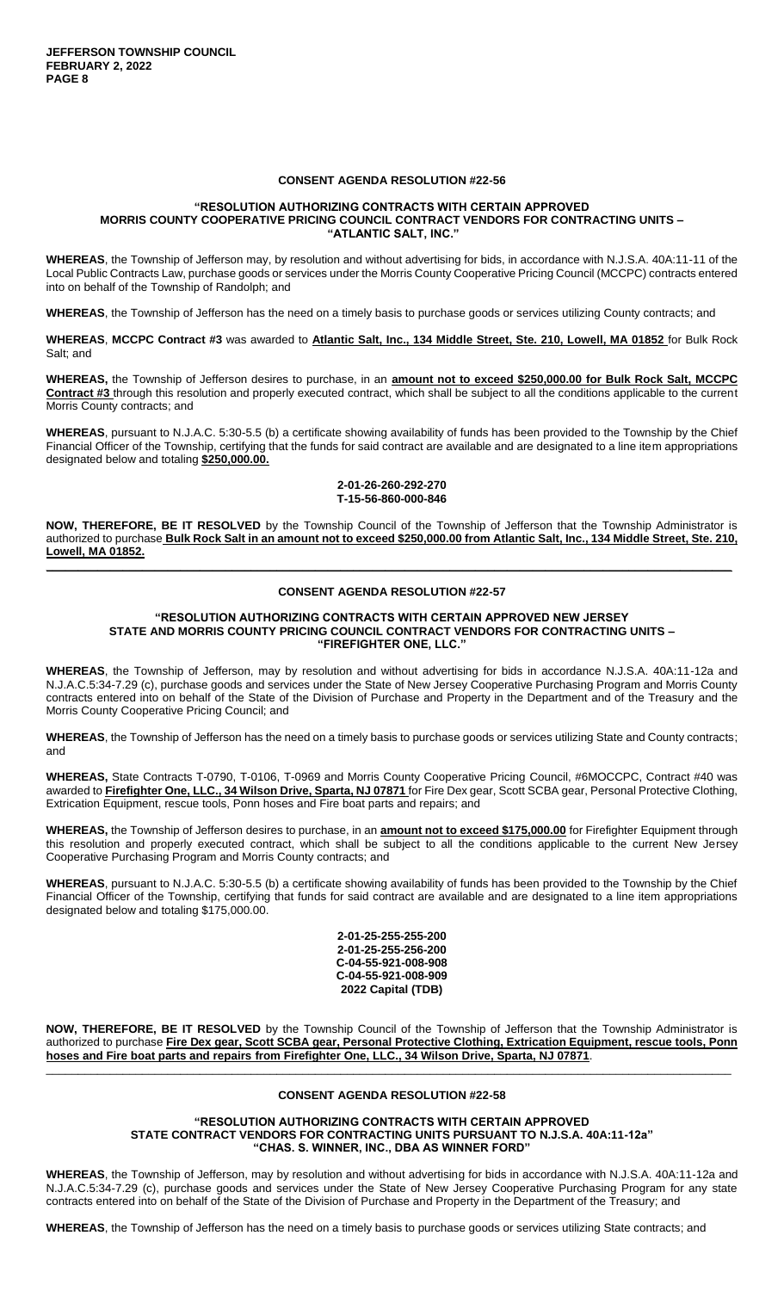#### **CONSENT AGENDA RESOLUTION #22-56**

#### **"RESOLUTION AUTHORIZING CONTRACTS WITH CERTAIN APPROVED MORRIS COUNTY COOPERATIVE PRICING COUNCIL CONTRACT VENDORS FOR CONTRACTING UNITS – "ATLANTIC SALT, INC."**

**WHEREAS**, the Township of Jefferson may, by resolution and without advertising for bids, in accordance with N.J.S.A. 40A:11-11 of the Local Public Contracts Law, purchase goods or services under the Morris County Cooperative Pricing Council (MCCPC) contracts entered into on behalf of the Township of Randolph; and

**WHEREAS**, the Township of Jefferson has the need on a timely basis to purchase goods or services utilizing County contracts; and

**WHEREAS**, **MCCPC Contract #3** was awarded to **Atlantic Salt, Inc., 134 Middle Street, Ste. 210, Lowell, MA 01852** for Bulk Rock Salt; and

**WHEREAS,** the Township of Jefferson desires to purchase, in an **amount not to exceed \$250,000.00 for Bulk Rock Salt, MCCPC Contract #3** through this resolution and properly executed contract, which shall be subject to all the conditions applicable to the current Morris County contracts; and

**WHEREAS**, pursuant to N.J.A.C. 5:30-5.5 (b) a certificate showing availability of funds has been provided to the Township by the Chief Financial Officer of the Township, certifying that the funds for said contract are available and are designated to a line item appropriations designated below and totaling **\$250,000.00.**

#### **2-01-26-260-292-270 T-15-56-860-000-846**

**NOW, THEREFORE, BE IT RESOLVED** by the Township Council of the Township of Jefferson that the Township Administrator is authorized to purchase **Bulk Rock Salt in an amount not to exceed \$250,000.00 from Atlantic Salt, Inc., 134 Middle Street, Ste. 210, Lowell, MA 01852. \_\_\_\_\_\_\_\_\_\_\_\_\_\_\_\_\_\_\_\_\_\_\_\_\_\_\_\_\_\_\_\_\_\_\_\_\_\_\_\_\_\_\_\_\_\_\_\_\_\_\_\_\_\_\_\_\_\_\_\_\_\_\_\_\_\_\_\_\_\_\_\_\_\_\_\_\_\_\_\_\_\_\_\_\_\_\_\_\_\_\_\_\_\_\_\_\_\_\_\_\_\_\_\_\_\_\_**

#### **CONSENT AGENDA RESOLUTION #22-57**

#### **"RESOLUTION AUTHORIZING CONTRACTS WITH CERTAIN APPROVED NEW JERSEY STATE AND MORRIS COUNTY PRICING COUNCIL CONTRACT VENDORS FOR CONTRACTING UNITS – "FIREFIGHTER ONE, LLC."**

**WHEREAS**, the Township of Jefferson, may by resolution and without advertising for bids in accordance N.J.S.A. 40A:11-12a and N.J.A.C.5:34-7.29 (c), purchase goods and services under the State of New Jersey Cooperative Purchasing Program and Morris County contracts entered into on behalf of the State of the Division of Purchase and Property in the Department and of the Treasury and the Morris County Cooperative Pricing Council; and

**WHEREAS**, the Township of Jefferson has the need on a timely basis to purchase goods or services utilizing State and County contracts; and

**WHEREAS,** State Contracts T-0790, T-0106, T-0969 and Morris County Cooperative Pricing Council, #6MOCCPC, Contract #40 was awarded to **Firefighter One, LLC., 34 Wilson Drive, Sparta, NJ 07871** for Fire Dex gear, Scott SCBA gear, Personal Protective Clothing, Extrication Equipment, rescue tools, Ponn hoses and Fire boat parts and repairs; and

**WHEREAS,** the Township of Jefferson desires to purchase, in an **amount not to exceed \$175,000.00** for Firefighter Equipment through this resolution and properly executed contract, which shall be subject to all the conditions applicable to the current New Jersey Cooperative Purchasing Program and Morris County contracts; and

**WHEREAS**, pursuant to N.J.A.C. 5:30-5.5 (b) a certificate showing availability of funds has been provided to the Township by the Chief Financial Officer of the Township, certifying that funds for said contract are available and are designated to a line item appropriations designated below and totaling \$175,000.00.

> **2-01-25-255-255-200 2-01-25-255-256-200 C-04-55-921-008-908 C-04-55-921-008-909 2022 Capital (TDB)**

**NOW, THEREFORE, BE IT RESOLVED** by the Township Council of the Township of Jefferson that the Township Administrator is authorized to purchase **Fire Dex gear, Scott SCBA gear, Personal Protective Clothing, Extrication Equipment, rescue tools, Ponn hoses and Fire boat parts and repairs from Firefighter One, LLC., 34 Wilson Drive, Sparta, NJ 07871**.

# \_\_\_\_\_\_\_\_\_\_\_\_\_\_\_\_\_\_\_\_\_\_\_\_\_\_\_\_\_\_\_\_\_\_\_\_\_\_\_\_\_\_\_\_\_\_\_\_\_\_\_\_\_\_\_\_\_\_\_\_\_\_\_\_\_\_\_\_\_\_\_\_\_\_\_\_\_\_\_\_\_\_\_\_\_\_\_\_\_\_\_\_\_\_\_\_\_\_\_\_\_\_\_\_\_\_\_ **CONSENT AGENDA RESOLUTION #22-58**

#### **"RESOLUTION AUTHORIZING CONTRACTS WITH CERTAIN APPROVED STATE CONTRACT VENDORS FOR CONTRACTING UNITS PURSUANT TO N.J.S.A. 40A:11-12a" "CHAS. S. WINNER, INC., DBA AS WINNER FORD"**

**WHEREAS**, the Township of Jefferson, may by resolution and without advertising for bids in accordance with N.J.S.A. 40A:11-12a and N.J.A.C.5:34-7.29 (c), purchase goods and services under the State of New Jersey Cooperative Purchasing Program for any state contracts entered into on behalf of the State of the Division of Purchase and Property in the Department of the Treasury; and

**WHEREAS**, the Township of Jefferson has the need on a timely basis to purchase goods or services utilizing State contracts; and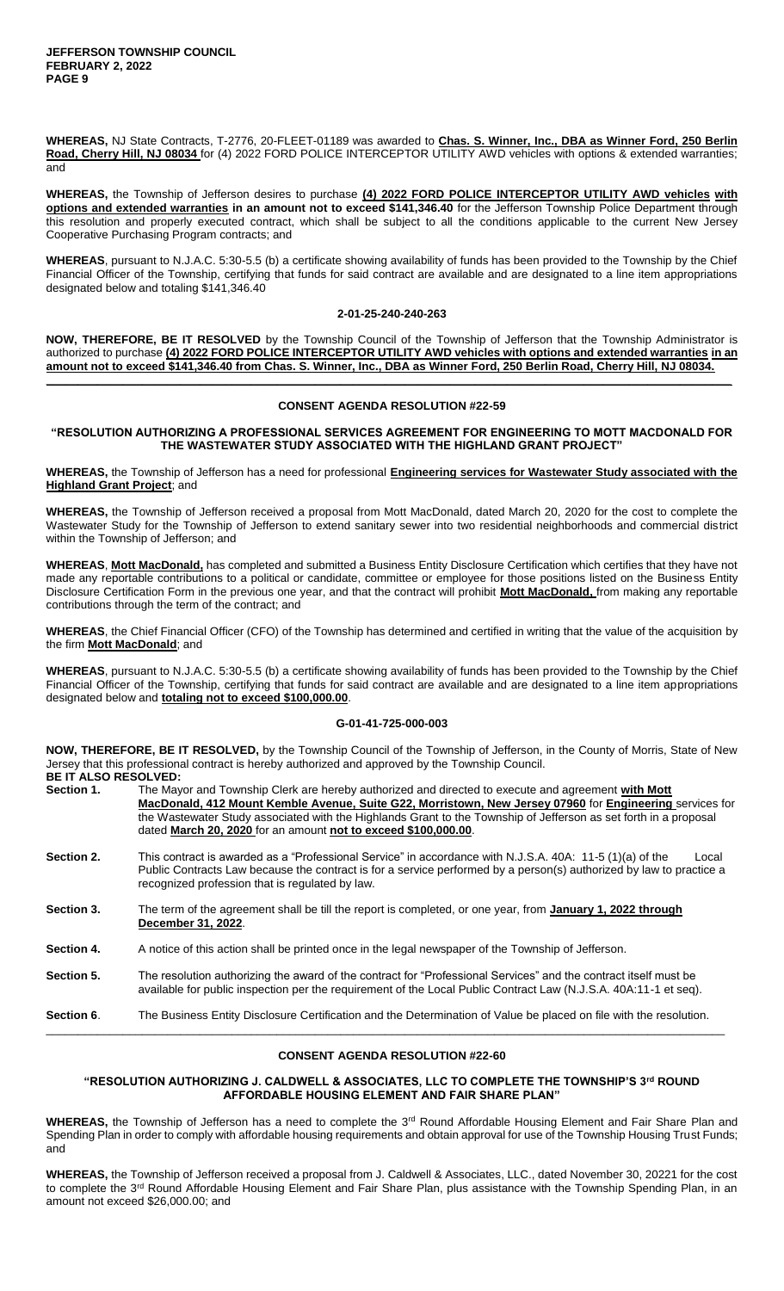**WHEREAS,** NJ State Contracts, T-2776, 20-FLEET-01189 was awarded to **Chas. S. Winner, Inc., DBA as Winner Ford, 250 Berlin Road, Cherry Hill, NJ 08034** for (4) 2022 FORD POLICE INTERCEPTOR UTILITY AWD vehicles with options & extended warranties; and

**WHEREAS,** the Township of Jefferson desires to purchase **(4) 2022 FORD POLICE INTERCEPTOR UTILITY AWD vehicles with options and extended warranties in an amount not to exceed \$141,346.40** for the Jefferson Township Police Department through this resolution and properly executed contract, which shall be subject to all the conditions applicable to the current New Jersey Cooperative Purchasing Program contracts; and

**WHEREAS**, pursuant to N.J.A.C. 5:30-5.5 (b) a certificate showing availability of funds has been provided to the Township by the Chief Financial Officer of the Township, certifying that funds for said contract are available and are designated to a line item appropriations designated below and totaling \$141,346.40

#### **2-01-25-240-240-263**

**NOW, THEREFORE, BE IT RESOLVED** by the Township Council of the Township of Jefferson that the Township Administrator is authorized to purchase **(4) 2022 FORD POLICE INTERCEPTOR UTILITY AWD vehicles with options and extended warranties in an amount not to exceed \$141,346.40 from Chas. S. Winner, Inc., DBA as Winner Ford, 250 Berlin Road, Cherry Hill, NJ 08034.**

#### **CONSENT AGENDA RESOLUTION #22-59**

**\_\_\_\_\_\_\_\_\_\_\_\_\_\_\_\_\_\_\_\_\_\_\_\_\_\_\_\_\_\_\_\_\_\_\_\_\_\_\_\_\_\_\_\_\_\_\_\_\_\_\_\_\_\_\_\_\_\_\_\_\_\_\_\_\_\_\_\_\_\_\_\_\_\_\_\_\_\_\_\_\_\_\_\_\_\_\_\_\_\_\_\_\_\_\_\_\_\_\_\_\_\_\_\_\_\_\_**

**"RESOLUTION AUTHORIZING A PROFESSIONAL SERVICES AGREEMENT FOR ENGINEERING TO MOTT MACDONALD FOR THE WASTEWATER STUDY ASSOCIATED WITH THE HIGHLAND GRANT PROJECT"**

**WHEREAS,** the Township of Jefferson has a need for professional **Engineering services for Wastewater Study associated with the Highland Grant Project**; and

**WHEREAS,** the Township of Jefferson received a proposal from Mott MacDonald, dated March 20, 2020 for the cost to complete the Wastewater Study for the Township of Jefferson to extend sanitary sewer into two residential neighborhoods and commercial district within the Township of Jefferson; and

**WHEREAS**, **Mott MacDonald,** has completed and submitted a Business Entity Disclosure Certification which certifies that they have not made any reportable contributions to a political or candidate, committee or employee for those positions listed on the Business Entity Disclosure Certification Form in the previous one year, and that the contract will prohibit **Mott MacDonald,** from making any reportable contributions through the term of the contract; and

**WHEREAS**, the Chief Financial Officer (CFO) of the Township has determined and certified in writing that the value of the acquisition by the firm **Mott MacDonald**; and

**WHEREAS**, pursuant to N.J.A.C. 5:30-5.5 (b) a certificate showing availability of funds has been provided to the Township by the Chief Financial Officer of the Township, certifying that funds for said contract are available and are designated to a line item appropriations designated below and **totaling not to exceed \$100,000.00**.

#### **G-01-41-725-000-003**

**NOW, THEREFORE, BE IT RESOLVED,** by the Township Council of the Township of Jefferson, in the County of Morris, State of New Jersey that this professional contract is hereby authorized and approved by the Township Council. **BE IT ALSO RESOLVED:** 

| -------------------- |                                                                                                                  |
|----------------------|------------------------------------------------------------------------------------------------------------------|
| Section 1.           | The Mayor and Township Clerk are hereby authorized and directed to execute and agreement with Mott               |
|                      | MacDonald, 412 Mount Kemble Avenue, Suite G22, Morristown, New Jersey 07960 for Engineering services for         |
|                      | the Wastewater Study associated with the Highlands Grant to the Township of Jefferson as set forth in a proposal |
|                      | dated March 20, 2020 for an amount not to exceed \$100,000.00.                                                   |
|                      |                                                                                                                  |

- **Section 2.** This contract is awarded as a "Professional Service" in accordance with N.J.S.A. 40A: 11-5 (1)(a) of the Local Public Contracts Law because the contract is for a service performed by a person(s) authorized by law to practice a recognized profession that is regulated by law.
- **Section 3.** The term of the agreement shall be till the report is completed, or one year, from **January 1, 2022 through December 31, 2022**.
- **Section 4.** A notice of this action shall be printed once in the legal newspaper of the Township of Jefferson.
- **Section 5.** The resolution authorizing the award of the contract for "Professional Services" and the contract itself must be available for public inspection per the requirement of the Local Public Contract Law (N.J.S.A. 40A:11-1 et seq).

**Section 6**. The Business Entity Disclosure Certification and the Determination of Value be placed on file with the resolution. \_\_\_\_\_\_\_\_\_\_\_\_\_\_\_\_\_\_\_\_\_\_\_\_\_\_\_\_\_\_\_\_\_\_\_\_\_\_\_\_\_\_\_\_\_\_\_\_\_\_\_\_\_\_\_\_\_\_\_\_\_\_\_\_\_\_\_\_\_\_\_\_\_\_\_\_\_\_\_\_\_\_\_\_\_\_\_\_\_\_\_\_\_\_\_\_\_\_\_\_\_\_\_\_\_\_

#### **CONSENT AGENDA RESOLUTION #22-60**

#### **"RESOLUTION AUTHORIZING J. CALDWELL & ASSOCIATES, LLC TO COMPLETE THE TOWNSHIP'S 3rd ROUND AFFORDABLE HOUSING ELEMENT AND FAIR SHARE PLAN"**

WHEREAS, the Township of Jefferson has a need to complete the 3<sup>rd</sup> Round Affordable Housing Element and Fair Share Plan and Spending Plan in order to comply with affordable housing requirements and obtain approval for use of the Township Housing Trust Funds; and

**WHEREAS,** the Township of Jefferson received a proposal from J. Caldwell & Associates, LLC., dated November 30, 20221 for the cost to complete the 3<sup>rd</sup> Round Affordable Housing Element and Fair Share Plan, plus assistance with the Township Spending Plan, in an amount not exceed \$26,000.00; and